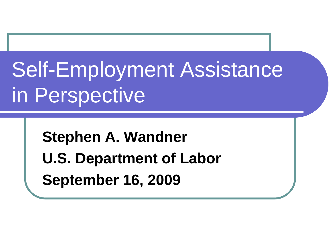# Self-Employment Assistance in Perspective

**Stephen A. Wandner U.S. Department of Labor September 16, 2009**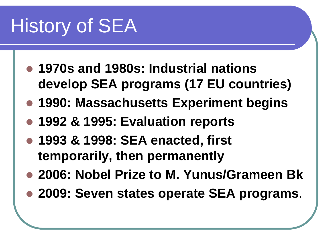## History of SEA

- **1970s and 1980s: Industrial nations develop SEA programs (17 EU countries)**
- **1990: Massachusetts Experiment begins**
- **1992 & 1995: Evaluation reports**
- **1993 & 1998: SEA enacted, first temporarily, then permanently**
- **2006: Nobel Prize to M. Yunus/Grameen Bk**
- **2009: Seven states operate SEA programs**.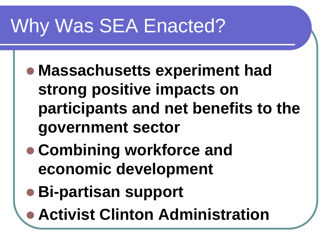#### Why Was SEA Enacted?

- **Massachusetts experiment had strong positive impacts on participants and net benefits to the government sector**
- **Combining workforce and economic development**
- **Bi-partisan support**
- **Activist Clinton Administration**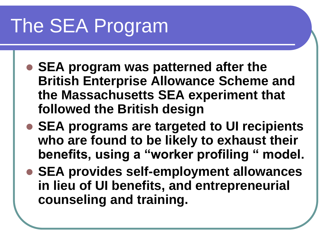# The SEA Program

- **SEA program was patterned after the British Enterprise Allowance Scheme and the Massachusetts SEA experiment that followed the British design**
- **SEA programs are targeted to UI recipients who are found to be likely to exhaust their benefits, using a "worker profiling " model.**
- **SEA provides self-employment allowances in lieu of UI benefits, and entrepreneurial counseling and training.**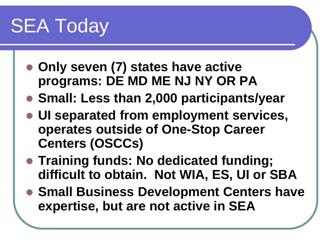### SEA Today

- **Only seven (7) states have active programs: DE MD ME NJ NY OR PA**
- **Small: Less than 2,000 participants/year**
- **UI separated from employment services, operates outside of One-Stop Career Centers (OSCCs)**
- **Training funds: No dedicated funding; difficult to obtain. Not WIA, ES, UI or SBA**
- **Small Business Development Centers have expertise, but are not active in SEA**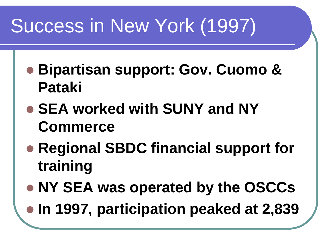### Success in New York (1997)

- **Bipartisan support: Gov. Cuomo & Pataki**
- **SEA worked with SUNY and NY Commerce**
- **Regional SBDC financial support for training**
- **NY SEA was operated by the OSCCs**
- **In 1997, participation peaked at 2,839**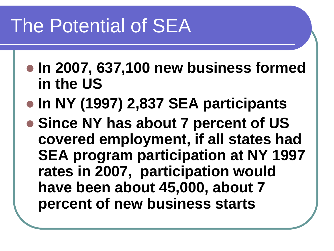#### The Potential of SEA

- **In 2007, 637,100 new business formed in the US**
- **In NY (1997) 2,837 SEA participants**
- **Since NY has about 7 percent of US covered employment, if all states had SEA program participation at NY 1997 rates in 2007, participation would have been about 45,000, about 7 percent of new business starts**